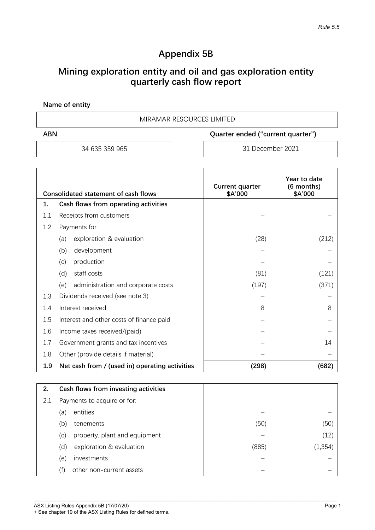# **Appendix 5B**

## **Mining exploration entity and oil and gas exploration entity quarterly cash flow report**

**Name of entity**

MIRAMAR RESOURCES LIMITED

| <b>ABN</b>     | Quarter ended ("current quarter") |
|----------------|-----------------------------------|
| 34 635 359 965 | -31 December 2021                 |

|     | <b>Consolidated statement of cash flows</b>    | <b>Current quarter</b><br>\$A'000 | Year to date<br>(6 months)<br>\$A'000 |
|-----|------------------------------------------------|-----------------------------------|---------------------------------------|
| 1.  | Cash flows from operating activities           |                                   |                                       |
| 1.1 | Receipts from customers                        |                                   |                                       |
| 1.2 | Payments for                                   |                                   |                                       |
|     | exploration & evaluation<br>(a)                | (28)                              | (212)                                 |
|     | (b)<br>development                             |                                   |                                       |
|     | (c)<br>production                              |                                   |                                       |
|     | (d)<br>staff costs                             | (81)                              | (121)                                 |
|     | (e)<br>administration and corporate costs      | (197)                             | (371)                                 |
| 1.3 | Dividends received (see note 3)                |                                   |                                       |
| 1.4 | Interest received                              | 8                                 | 8                                     |
| 1.5 | Interest and other costs of finance paid       |                                   |                                       |
| 1.6 | Income taxes received/(paid)                   |                                   |                                       |
| 1.7 | Government grants and tax incentives           |                                   | 14                                    |
| 1.8 | Other (provide details if material)            |                                   |                                       |
| 1.9 | Net cash from / (used in) operating activities | (298)                             | (682)                                 |

| 2.  |                             | Cash flows from investing activities |       |          |
|-----|-----------------------------|--------------------------------------|-------|----------|
| 2.1 | Payments to acquire or for: |                                      |       |          |
|     | (a)                         | entities                             |       |          |
|     | (b)                         | tenements                            | (50)  | (50)     |
|     | (c)                         | property, plant and equipment        |       | (12)     |
|     | (d)                         | exploration & evaluation             | (885) | (1, 354) |
|     | (e)                         | investments                          |       |          |
|     | (f)                         | other non-current assets             | –     |          |

ASX Listing Rules Appendix 5B (17/07/20)

+ See chapter 19 of the ASX Listing Rules for defined terms.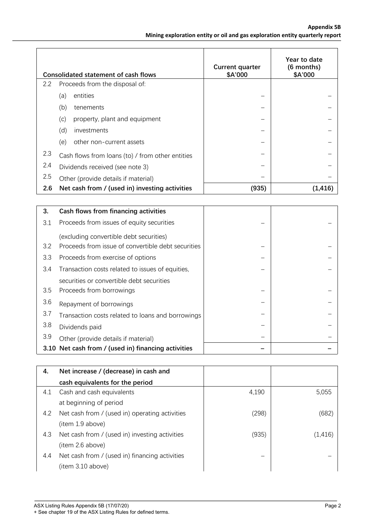|     | <b>Consolidated statement of cash flows</b>      | <b>Current quarter</b><br>\$A'000 | Year to date<br>(6 months)<br>\$A'000 |
|-----|--------------------------------------------------|-----------------------------------|---------------------------------------|
| 2.2 | Proceeds from the disposal of:                   |                                   |                                       |
|     | entities<br>(a)                                  |                                   |                                       |
|     | (b)<br>tenements                                 |                                   |                                       |
|     | property, plant and equipment<br>(c)             |                                   |                                       |
|     | (d)<br>investments                               |                                   |                                       |
|     | (e)<br>other non-current assets                  |                                   |                                       |
| 2.3 | Cash flows from loans (to) / from other entities |                                   |                                       |
| 2.4 | Dividends received (see note 3)                  |                                   |                                       |
| 2.5 | Other (provide details if material)              |                                   |                                       |
| 2.6 | Net cash from / (used in) investing activities   | (935)                             | $\left[1.416\right]$                  |

| 3.  | Cash flows from financing activities                |  |
|-----|-----------------------------------------------------|--|
| 3.1 | Proceeds from issues of equity securities           |  |
|     | (excluding convertible debt securities)             |  |
| 3.2 | Proceeds from issue of convertible debt securities  |  |
| 3.3 | Proceeds from exercise of options                   |  |
| 3.4 | Transaction costs related to issues of equities,    |  |
|     | securities or convertible debt securities           |  |
| 3.5 | Proceeds from borrowings                            |  |
| 3.6 | Repayment of borrowings                             |  |
| 3.7 | Transaction costs related to loans and borrowings   |  |
| 3.8 | Dividends paid                                      |  |
| 3.9 | Other (provide details if material)                 |  |
|     | 3.10 Net cash from / (used in) financing activities |  |

| 4.  | Net increase / (decrease) in cash and          |       |         |
|-----|------------------------------------------------|-------|---------|
|     | cash equivalents for the period                |       |         |
| 4.1 | Cash and cash equivalents                      | 4.190 | 5,055   |
|     | at beginning of period                         |       |         |
| 4.2 | Net cash from / (used in) operating activities | (298) | (682)   |
|     | (item 1.9 above)                               |       |         |
| 4.3 | Net cash from / (used in) investing activities | (935) | (1.416) |
|     | (item 2.6 above)                               |       |         |
| 4.4 | Net cash from / (used in) financing activities |       |         |
|     | item 3.10 above)                               |       |         |

+ See chapter 19 of the ASX Listing Rules for defined terms.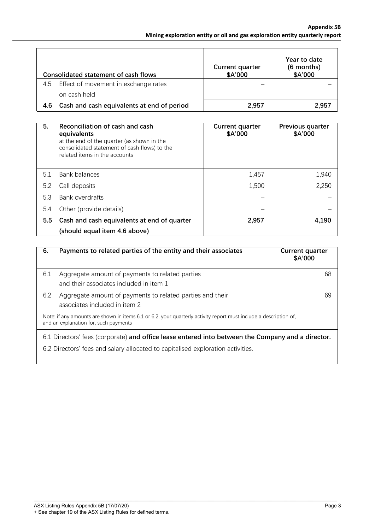|     | <b>Consolidated statement of cash flows</b> | <b>Current quarter</b><br>\$A'000 | Year to date<br>(6 months)<br>\$A'000 |
|-----|---------------------------------------------|-----------------------------------|---------------------------------------|
| 4.5 | Effect of movement in exchange rates        |                                   |                                       |
|     | on cash held                                |                                   |                                       |
| 4.6 | Cash and cash equivalents at end of period  | 2,957                             | 2.957                                 |

| 5.  | Reconciliation of cash and cash<br>equivalents<br>at the end of the quarter (as shown in the<br>consolidated statement of cash flows) to the<br>related items in the accounts | <b>Current quarter</b><br>\$A'000 | Previous quarter<br>\$A'000 |
|-----|-------------------------------------------------------------------------------------------------------------------------------------------------------------------------------|-----------------------------------|-----------------------------|
| 5.1 | Bank balances                                                                                                                                                                 | 1,457                             | 1,940                       |
| 5.2 | Call deposits                                                                                                                                                                 | 1,500                             | 2,250                       |
| 5.3 | Bank overdrafts                                                                                                                                                               |                                   |                             |
| 5.4 | Other (provide details)                                                                                                                                                       |                                   |                             |
| 5.5 | Cash and cash equivalents at end of quarter                                                                                                                                   | 2,957                             | 4,190                       |
|     | (should equal item 4.6 above)                                                                                                                                                 |                                   |                             |

| 6.                                                                                                                                                         | Payments to related parties of the entity and their associates                             | <b>Current quarter</b><br>\$A'000 |  |
|------------------------------------------------------------------------------------------------------------------------------------------------------------|--------------------------------------------------------------------------------------------|-----------------------------------|--|
| 6.1                                                                                                                                                        | Aggregate amount of payments to related parties<br>and their associates included in item 1 | 68                                |  |
| 6.2                                                                                                                                                        | Aggregate amount of payments to related parties and their<br>associates included in item 2 | 69                                |  |
| Note: if any amounts are shown in items 6.1 or 6.2, your quarterly activity report must include a description of,<br>and an explanation for, such payments |                                                                                            |                                   |  |
| 6.1 Directors' fees (corporate) and office lease entered into between the Company and a director.                                                          |                                                                                            |                                   |  |

6.2 Directors' fees and salary allocated to capitalised exploration activities.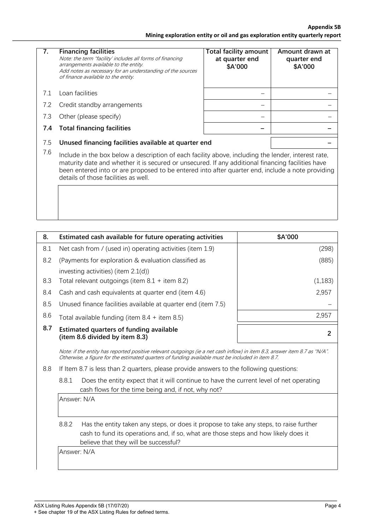#### **Appendix 5B Mining exploration entity or oil and gas exploration entity quarterly report**

| $\overline{7}$ . | <b>Financing facilities</b><br>Note: the term "facility' includes all forms of financing<br>arrangements available to the entity.<br>Add notes as necessary for an understanding of the sources<br>of finance available to the entity.                                                                       | <b>Total facility amount</b><br>at quarter end<br>\$A'000 | Amount drawn at<br>quarter end<br>\$A'000 |
|------------------|--------------------------------------------------------------------------------------------------------------------------------------------------------------------------------------------------------------------------------------------------------------------------------------------------------------|-----------------------------------------------------------|-------------------------------------------|
| 7.1              | Loan facilities                                                                                                                                                                                                                                                                                              |                                                           |                                           |
| 7.2              | Credit standby arrangements                                                                                                                                                                                                                                                                                  |                                                           |                                           |
| 7.3              | Other (please specify)                                                                                                                                                                                                                                                                                       |                                                           |                                           |
| 7.4              | <b>Total financing facilities</b>                                                                                                                                                                                                                                                                            |                                                           |                                           |
| 7.5              | Unused financing facilities available at quarter end                                                                                                                                                                                                                                                         |                                                           |                                           |
| 7.6              | Include in the box below a description of each facility above, including the lender, interest rate,<br>maturity date and whether it is secured or unsecured. If any additional financing facilities have<br>been entered into or are proposed to be entered into after quarter end, include a note providing |                                                           |                                           |

| 8.  | Estimated cash available for future operating activities                  | \$A'000 |
|-----|---------------------------------------------------------------------------|---------|
| 8.1 | Net cash from / (used in) operating activities (item 1.9)                 | (298)   |
| 8.2 | (Payments for exploration & evaluation classified as                      | (885)   |
|     | investing activities) (item $2.1(d)$ )                                    |         |
| 8.3 | Total relevant outgoings (item $8.1 +$ item $8.2$ )                       | (1,183) |
| 8.4 | Cash and cash equivalents at quarter end (item 4.6)                       | 2,957   |
| 8.5 | Unused finance facilities available at quarter end (item 7.5)             |         |
| 8.6 | Total available funding (item $8.4 +$ item $8.5$ )                        | 2,957   |
| 8.7 | Estimated quarters of funding available<br>(item 8.6 divided by item 8.3) | 2       |

Note: if the entity has reported positive relevant outgoings (ie a net cash inflow) in item 8.3, answer item 8.7 as "N/A". Otherwise, a figure for the estimated quarters of funding available must be included in item 8.7.

8.8 If Item 8.7 is less than 2 quarters, please provide answers to the following questions:

8.8.1 Does the entity expect that it will continue to have the current level of net operating cash flows for the time being and, if not, why not?

Answer: N/A

8.8.2 Has the entity taken any steps, or does it propose to take any steps, to raise further cash to fund its operations and, if so, what are those steps and how likely does it believe that they will be successful?

Answer: N/A